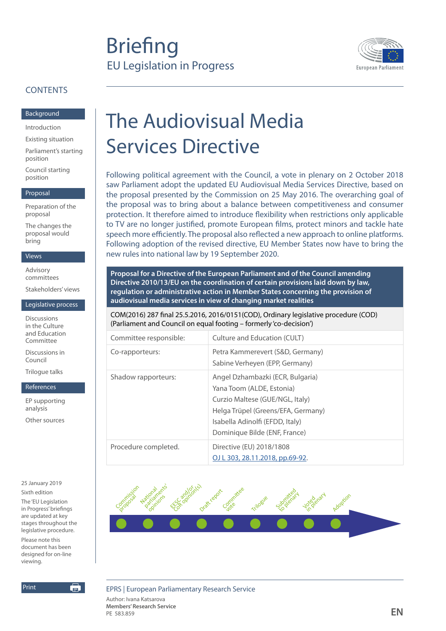## **Briefing** EU Legislation in Progress



#### **CONTENTS**

[Background](#page-1-0)

[Introduction](#page-1-0)

[Existing situation](#page-2-0)

[Parliament's starting](#page-5-0)  [position](#page-5-0)

[Council starting](#page-6-0)  [position](#page-6-0)

#### [Proposal](#page-7-0)

[Preparation of the](#page-7-0)  [proposal](#page-7-0)

[The changes the](#page-8-0)  [proposal would](#page-8-0)  [bring](#page-8-0)

#### [Views](#page-11-0)

[Advisory](#page-11-0)  [committees](#page-11-0)

[Stakeholders' views](#page-11-0)

#### [Legislative process](#page-13-0)

[Discussions](#page-13-0)  [in the Culture](#page-13-0)  [and Education](#page-13-0)  [Committee](#page-13-0)

[Discussions in](#page-14-0)  [Council](#page-14-0)

[Trilogue talks](#page-15-0)

#### [References](#page-17-0)

[EP supporting](#page-17-0)  [analysis](#page-17-0) [Other sources](#page-17-0)

25 January 2019 Sixth edition

The 'EU Legislation in Progress' briefings are updated at key stages throughout the legislative procedure. Please note this document has been designed for on-line viewing.

申

Print

# The Audiovisual Media Services Directive

Following political agreement with the Council, a vote in plenary on 2 October 2018 saw Parliament adopt the updated EU Audiovisual Media Services Directive, based on the proposal presented by the Commission on 25 May 2016. The overarching goal of the proposal was to bring about a balance between competitiveness and consumer protection. It therefore aimed to introduce flexibility when restrictions only applicable to TV are no longer justified, promote European films, protect minors and tackle hate speech more efficiently. The proposal also reflected a new approach to online platforms. Following adoption of the revised directive, EU Member States now have to bring the new rules into national law by 19 September 2020.

**Proposal for a Directive of the European Parliament and of the Council amending Directive 2010/13/EU on the coordination of certain provisions laid down by law, regulation or administrative action in Member States concerning the provision of audiovisual media services in view of changing market realities**

COM(2016) 287 final 25.5.2016, 2016/0151(COD), Ordinary legislative procedure (COD) (Parliament and Council on equal footing – formerly 'co-decision')

| Committee responsible: | Culture and Education (CULT)                                                                                                                                                                               |
|------------------------|------------------------------------------------------------------------------------------------------------------------------------------------------------------------------------------------------------|
| Co-rapporteurs:        | Petra Kammerevert (S&D, Germany)<br>Sabine Verheyen (EPP, Germany)                                                                                                                                         |
| Shadow rapporteurs:    | Angel Dzhambazki (ECR, Bulgaria)<br>Yana Toom (ALDE, Estonia)<br>Curzio Maltese (GUE/NGL, Italy)<br>Helga Trüpel (Greens/EFA, Germany)<br>Isabella Adinolfi (EFDD, Italy)<br>Dominique Bilde (ENF, France) |
| Procedure completed.   | Directive (EU) 2018/1808<br>OJ L 303, 28.11.2018, pp.69-92.                                                                                                                                                |



EPRS | European Parliamentary Research Service

Author: Ivana Katsarova **Members' Research Service EN**<br>PE 583.859 **EN**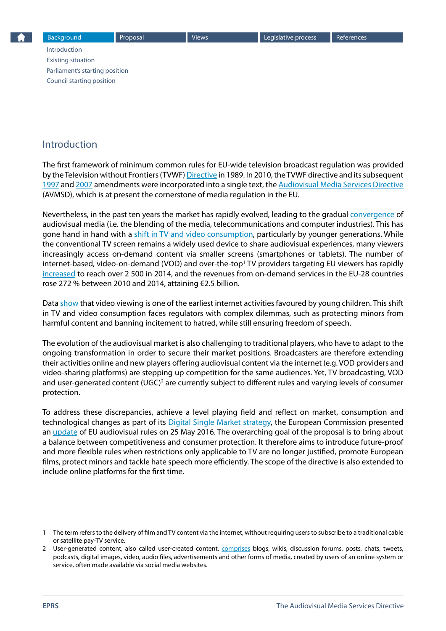## <span id="page-1-0"></span>Introduction

The first framework of minimum common rules for EU-wide television broadcast regulation was provided by the Television without Frontiers (TVWF) [Directive](http://eur-lex.europa.eu/legal-content/EN/ALL/?uri=CELEX:31989L0552) in 1989. In 2010, the TVWF directive and its subsequent [1997](http://eur-lex.europa.eu/LexUriServ/LexUriServ.do?uri=CELEX:31997L0036:EN:NOT) and [2007](http://eur-lex.europa.eu/LexUriServ/LexUriServ.do?uri=CELEX:32007L0065:EN:NOT) amendments were incorporated into a single text, the [Audiovisual Media Services Directive](http://eur-lex.europa.eu/LexUriServ/LexUriServ.do?uri=CELEX:32010L0013:EN:NOT) (AVMSD), which is at present the cornerstone of media regulation in the EU.

Nevertheless, in the past ten years the market has rapidly evolved, leading to the gradual [convergence](http://www.alrc.gov.au/publications/3-media-convergence-and-transformed-media-environment/media-convergence-and-transformed) of audiovisual media (i.e. the blending of the media, telecommunications and computer industries). This has gone hand in hand with a [shift in TV and video consumption,](http://www.pwc.com/gx/en/industries/entertainment-media/outlook/data-insights.html) particularly by younger generations. While the conventional TV screen remains a widely used device to share audiovisual experiences, many viewers increasingly access on-demand content via smaller screens (smartphones or tablets). The number of internet-based, video-on-demand (VOD) and over-the-top<sup>1</sup> TV providers targeting EU viewers has rapidly [increased](http://eur-lex.europa.eu/legal-content/EN/TXT/?qid=1465288920594&uri=CELEX:52016SC0168) to reach over 2 500 in 2014, and the revenues from on-demand services in the EU-28 countries rose 272 % between 2010 and 2014, attaining €2.5 billion.

Data [show](http://eur-lex.europa.eu/legal-content/EN/TXT/?qid=1465288920594&uri=CELEX:52016SC0168) that video viewing is one of the earliest internet activities favoured by young children. This shift in TV and video consumption faces regulators with complex dilemmas, such as protecting minors from harmful content and banning incitement to hatred, while still ensuring freedom of speech.

The evolution of the audiovisual market is also challenging to traditional players, who have to adapt to the ongoing transformation in order to secure their market positions. Broadcasters are therefore extending their activities online and new players offering audiovisual content via the internet (e.g. VOD providers and video-sharing platforms) are stepping up competition for the same audiences. Yet, TV broadcasting, VOD and user-generated content (UGC)<sup>2</sup> are currently subject to different rules and varying levels of consumer protection.

To address these discrepancies, achieve a level playing field and reflect on market, consumption and technological changes as part of its [Digital Single Market strategy](http://ec.europa.eu/priorities/digital-single-market_en), the European Commission presented an [update](http://eur-lex.europa.eu/legal-content/EN/TXT/?qid=1464618463840&uri=COM:2016:287:FIN) of EU audiovisual rules on 25 May 2016. The overarching goal of the proposal is to bring about a balance between competitiveness and consumer protection. It therefore aims to introduce future-proof and more flexible rules when restrictions only applicable to TV are no longer justified, promote European films, protect minors and tackle hate speech more efficiently. The scope of the directive is also extended to include online platforms for the first time.

<sup>1</sup> The term refers to the delivery of film and TV content via the internet, without requiring users to subscribe to a traditional cable or satellite pay-TV service.

<sup>2</sup> User-generated content, also called user-created content, [comprises](http://www.oecd-ilibrary.org/science-and-technology/participative-web-and-user-created-content_9789264037472-en) blogs, wikis, discussion forums, posts, chats, tweets, podcasts, digital images, video, audio files, advertisements and other forms of media, created by users of an online system or service, often made available via social media websites.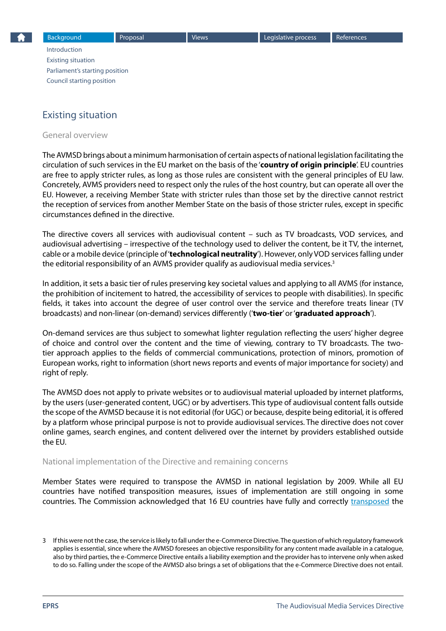## <span id="page-2-0"></span>Existing situation

General overview

The AVMSD brings about a minimum harmonisation of certain aspects of national legislation facilitating the circulation of such services in the EU market on the basis of the '**country of origin principle**'. EU countries are free to apply stricter rules, as long as those rules are consistent with the general principles of EU law. Concretely, AVMS providers need to respect only the rules of the host country, but can operate all over the EU. However, a receiving Member State with stricter rules than those set by the directive cannot restrict the reception of services from another Member State on the basis of those stricter rules, except in specific circumstances defined in the directive.

The directive covers all services with audiovisual content – such as TV broadcasts, VOD services, and audiovisual advertising – irrespective of the technology used to deliver the content, be it TV, the internet, cable or a mobile device (principle of '**technological neutrality**'). However, only VOD services falling under the editorial responsibility of an AVMS provider qualify as audiovisual media services.<sup>3</sup>

In addition, it sets a basic tier of rules preserving key societal values and applying to all AVMS (for instance, the prohibition of incitement to hatred, the accessibility of services to people with disabilities). In specific fields, it takes into account the degree of user control over the service and therefore treats linear (TV broadcasts) and non-linear (on-demand) services differently ('**two-tier**' or '**graduated approach**').

On-demand services are thus subject to somewhat lighter regulation reflecting the users' higher degree of choice and control over the content and the time of viewing, contrary to TV broadcasts. The twotier approach applies to the fields of commercial communications, protection of minors, promotion of European works, right to information (short news reports and events of major importance for society) and right of reply.

The AVMSD does not apply to private websites or to audiovisual material uploaded by internet platforms, by the users (user-generated content, UGC) or by advertisers. This type of audiovisual content falls outside the scope of the AVMSD because it is not editorial (for UGC) or because, despite being editorial, it is offered by a platform whose principal purpose is not to provide audiovisual services. The directive does not cover online games, search engines, and content delivered over the internet by providers established outside the EU.

#### National implementation of the Directive and remaining concerns

Member States were required to transpose the AVMSD in national legislation by 2009. While all EU countries have notified transposition measures, issues of implementation are still ongoing in some countries. The Commission acknowledged that 16 EU countries have fully and correctly [transposed](http://bit.ly/294tGL0) the

<sup>3</sup> If this were not the case, the service is likely to fall under the e-Commerce Directive. The question of which regulatory framework applies is essential, since where the AVMSD foresees an objective responsibility for any content made available in a catalogue, also by third parties, the e-Commerce Directive entails a liability exemption and the provider has to intervene only when asked to do so. Falling under the scope of the AVMSD also brings a set of obligations that the e-Commerce Directive does not entail.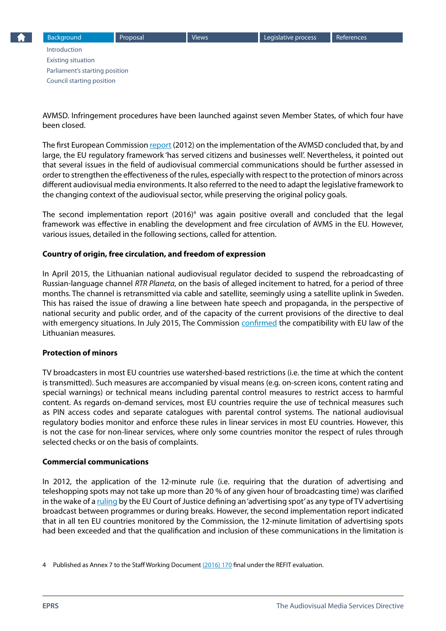AVMSD. Infringement procedures have been launched against seven Member States, of which four have been closed.

The first European Commission [report](http://eur-lex.europa.eu/LexUriServ/LexUriServ.do?uri=CELEX:52012DC0203:EN:NOT) (2012) on the implementation of the AVMSD concluded that, by and large, the EU regulatory framework 'has served citizens and businesses well'. Nevertheless, it pointed out that several issues in the field of audiovisual commercial communications should be further assessed in order to strengthen the effectiveness of the rules, especially with respect to the protection of minors across different audiovisual media environments. It also referred to the need to adapt the legislative framework to the changing context of the audiovisual sector, while preserving the original policy goals.

The second implementation report (2016)<sup>4</sup> was again positive overall and concluded that the legal framework was effective in enabling the development and free circulation of AVMS in the EU. However, various issues, detailed in the following sections, called for attention.

#### **Country of origin, free circulation, and freedom of expression**

In April 2015, the Lithuanian national audiovisual regulator decided to suspend the rebroadcasting of Russian-language channel *RTR Planeta*, on the basis of alleged incitement to hatred, for a period of three months. The channel is retransmitted via cable and satellite, seemingly using a satellite uplink in Sweden. This has raised the issue of drawing a line between hate speech and propaganda, in the perspective of national security and public order, and of the capacity of the current provisions of the directive to deal with emergency situations. In July 2015, The Commission [confirmed](http://ec.europa.eu/newsroom/dae/itemdetail.cfm?item_id=24517) the compatibility with EU law of the Lithuanian measures.

#### **Protection of minors**

TV broadcasters in most EU countries use watershed-based restrictions (i.e. the time at which the content is transmitted). Such measures are accompanied by visual means (e.g. on-screen icons, content rating and special warnings) or technical means including parental control measures to restrict access to harmful content. As regards on-demand services, most EU countries require the use of technical measures such as PIN access codes and separate catalogues with parental control systems. The national audiovisual regulatory bodies monitor and enforce these rules in linear services in most EU countries. However, this is not the case for non-linear services, where only some countries monitor the respect of rules through selected checks or on the basis of complaints.

#### **Commercial communications**

In 2012, the application of the 12-minute rule (i.e. requiring that the duration of advertising and teleshopping spots may not take up more than 20 % of any given hour of broadcasting time) was clarified in the wake of a [ruling](http://curia.europa.eu/juris/fiche.jsf;jsessionid=9ea7d0f130d5fb08a1fa23c24c479b3b8d814b8eba6e.e34KaxiLc3eQc40LaxqMbN4OchyNe0?id=C%3B281%3B9%3BRD%3B1%3BP%3B1%3BC2009%2F0281%2FJ&pro=&lgrec=en&nat=or&oqp=&dates=&lg=&language=en&jur=C%2CT%2CF&cit=none%252CC%252CCJ%252CR%252C2008E%252C%252C%252C%252C%252C%252C%252C%252C%252C%252Ctrue%252Cfalse%252Cfalse&num=281%252F09&td=%3BALL&pcs=Oor&avg=&mat=or&jge=&for=&cid=315745) by the EU Court of Justice defining an 'advertising spot' as any type of TV advertising broadcast between programmes or during breaks. However, the second implementation report indicated that in all ten EU countries monitored by the Commission, the 12-minute limitation of advertising spots had been exceeded and that the qualification and inclusion of these communications in the limitation is

<sup>4</sup> Published as Annex 7 to the Staff Working Document [\(2016\) 170](http://eur-lex.europa.eu/legal-content/EN/TXT/?uri=SWD:2016:0170:FIN) final under the REFIT evaluation.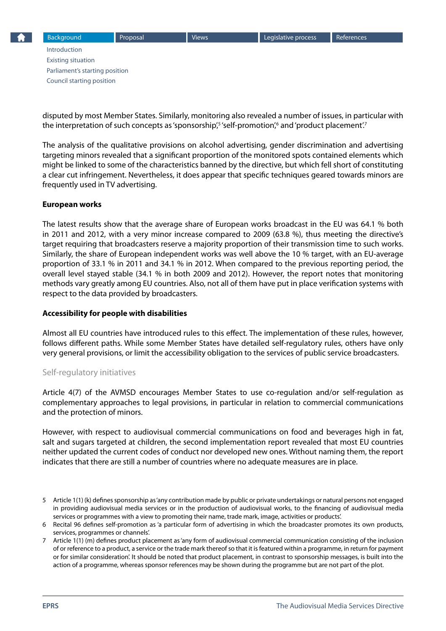disputed by most Member States. Similarly, monitoring also revealed a number of issues, in particular with the interpretation of such concepts as 'sponsorship',<sup>s</sup> 'self-promotion',<sup>6</sup> and 'product placement'.<sup>7</sup>

The analysis of the qualitative provisions on alcohol advertising, gender discrimination and advertising targeting minors revealed that a significant proportion of the monitored spots contained elements which might be linked to some of the characteristics banned by the directive, but which fell short of constituting a clear cut infringement. Nevertheless, it does appear that specific techniques geared towards minors are frequently used in TV advertising.

#### **European works**

The latest results show that the average share of European works broadcast in the EU was 64.1 % both in 2011 and 2012, with a very minor increase compared to 2009 (63.8 %), thus meeting the directive's target requiring that broadcasters reserve a majority proportion of their transmission time to such works. Similarly, the share of European independent works was well above the 10 % target, with an EU-average proportion of 33.1 % in 2011 and 34.1 % in 2012. When compared to the previous reporting period, the overall level stayed stable (34.1 % in both 2009 and 2012). However, the report notes that monitoring methods vary greatly among EU countries. Also, not all of them have put in place verification systems with respect to the data provided by broadcasters.

#### **Accessibility for people with disabilities**

Almost all EU countries have introduced rules to this effect. The implementation of these rules, however, follows different paths. While some Member States have detailed self-regulatory rules, others have only very general provisions, or limit the accessibility obligation to the services of public service broadcasters.

#### Self-regulatory initiatives

Article 4(7) of the AVMSD encourages Member States to use co-regulation and/or self-regulation as complementary approaches to legal provisions, in particular in relation to commercial communications and the protection of minors.

However, with respect to audiovisual commercial communications on food and beverages high in fat, salt and sugars targeted at children, the second implementation report revealed that most EU countries neither updated the current codes of conduct nor developed new ones. Without naming them, the report indicates that there are still a number of countries where no adequate measures are in place.

- 5 Article 1(1) (k) defines sponsorship as 'any contribution made by public or private undertakings or natural persons not engaged in providing audiovisual media services or in the production of audiovisual works, to the financing of audiovisual media services or programmes with a view to promoting their name, trade mark, image, activities or products'.
- 6 Recital 96 defines self-promotion as 'a particular form of advertising in which the broadcaster promotes its own products, services, programmes or channels'.
- 7 Article 1(1) (m) defines product placement as 'any form of audiovisual commercial communication consisting of the inclusion of or reference to a product, a service or the trade mark thereof so that it is featured within a programme, in return for payment or for similar consideration'. It should be noted that product placement, in contrast to sponsorship messages, is built into the action of a programme, whereas sponsor references may be shown during the programme but are not part of the plot.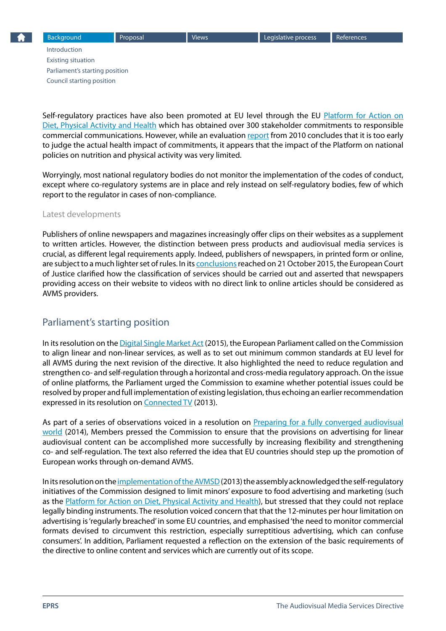<span id="page-5-0"></span>Self-regulatory practices have also been promoted at EU level through the EU [Platform for Action on](http://ec.europa.eu/health/nutrition_physical_activity/platform/index_en.htm)  [Diet, Physical Activity and Health](http://ec.europa.eu/health/nutrition_physical_activity/platform/index_en.htm) which has obtained over 300 stakeholder commitments to responsible commercial communications. However, while an evaluation [report](http://bit.ly/1OE6IY4) from 2010 concludes that it is too early to judge the actual health impact of commitments, it appears that the impact of the Platform on national policies on nutrition and physical activity was very limited.

Worryingly, most national regulatory bodies do not monitor the implementation of the codes of conduct, except where co-regulatory systems are in place and rely instead on self-regulatory bodies, few of which report to the regulator in cases of non-compliance.

#### Latest developments

Publishers of online newspapers and magazines increasingly offer clips on their websites as a supplement to written articles. However, the distinction between press products and audiovisual media services is crucial, as different legal requirements apply. Indeed, publishers of newspapers, in printed form or online, are subject to a much lighter set of rules. In its [conclusions](http://curia.europa.eu/juris/liste.jsf?language=en&jur=C,T,F&num=C-347/14&td=ALL) reached on 21 October 2015, the European Court of Justice clarified how the classification of services should be carried out and asserted that newspapers providing access on their website to videos with no direct link to online articles should be considered as AVMS providers.

#### Parliament's starting position

In its resolution on the [Digital Single Market Act](http://www.europarl.europa.eu/oeil/popups/ficheprocedure.do?reference=2015/2147(INI)&l=en) (2015), the European Parliament called on the Commission to align linear and non-linear services, as well as to set out minimum common standards at EU level for all AVMS during the next revision of the directive. It also highlighted the need to reduce regulation and strengthen co- and self-regulation through a horizontal and cross-media regulatory approach. On the issue of online platforms, the Parliament urged the Commission to examine whether potential issues could be resolved by proper and full implementation of existing legislation, thus echoing an earlier recommendation expressed in its resolution on [Connected TV](http://www.europarl.europa.eu/oeil/popups/ficheprocedure.do?reference=2012/2300(INI)&l=en) (2013).

As part of a series of observations voiced in a resolution on Preparing for a fully converged audiovisual [world](http://www.europarl.europa.eu/oeil/popups/ficheprocedure.do?reference=2013/2180(INI)&l=en) (2014), Members pressed the Commission to ensure that the provisions on advertising for linear audiovisual content can be accomplished more successfully by increasing flexibility and strengthening co- and self-regulation. The text also referred the idea that EU countries should step up the promotion of European works through on-demand AVMS.

In its resolution on the [implementation of the AVMSD](http://www.europarl.europa.eu/oeil/popups/ficheprocedure.do?reference=2012/2132(INI)&l=en) (2013) the assembly acknowledged the self-regulatory initiatives of the Commission designed to limit minors' exposure to food advertising and marketing (such as the [Platform for Action on Diet, Physical Activity and Health](http://ec.europa.eu/health/nutrition_physical_activity/platform/index_en.htm)), but stressed that they could not replace legally binding instruments. The resolution voiced concern that that the 12-minutes per hour limitation on advertising is 'regularly breached' in some EU countries, and emphasised 'the need to monitor commercial formats devised to circumvent this restriction, especially surreptitious advertising, which can confuse consumers'. In addition, Parliament requested a reflection on the extension of the basic requirements of the directive to online content and services which are currently out of its scope.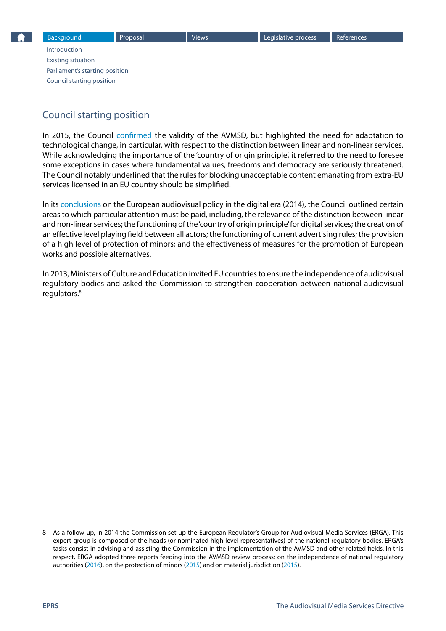## <span id="page-6-0"></span>Council starting position

In 2015, the Council [confirmed](http://www.consilium.europa.eu/en/meetings/eycs/2015/05/st08965_en15_pdf/) the validity of the AVMSD, but highlighted the need for adaptation to technological change, in particular, with respect to the distinction between linear and non-linear services. While acknowledging the importance of the 'country of origin principle', it referred to the need to foresee some exceptions in cases where fundamental values, freedoms and democracy are seriously threatened. The Council notably underlined that the rules for blocking unacceptable content emanating from extra-EU services licensed in an EU country should be simplified.

In its [conclusions](http://www.consilium.europa.eu/uedocs/cms_data/docs/pressdata/en/educ/145950.pdf) on the European audiovisual policy in the digital era (2014), the Council outlined certain areas to which particular attention must be paid, including, the relevance of the distinction between linear and non-linear services; the functioning of the 'country of origin principle' for digital services; the creation of an effective level playing field between all actors; the functioning of current advertising rules; the provision of a high level of protection of minors; and the effectiveness of measures for the promotion of European works and possible alternatives.

In 2013, Ministers of Culture and Education invited EU countries to ensure the independence of audiovisual regulatory bodies and asked the Commission to strengthen cooperation between national audiovisual regulators.<sup>8</sup>

<sup>8</sup> As a follow-up, in 2014 the Commission set up the European Regulator's Group for Audiovisual Media Services (ERGA). This expert group is composed of the heads (or nominated high level representatives) of the national regulatory bodies. ERGA's tasks consist in advising and assisting the Commission in the implementation of the AVMSD and other related fields. In this respect, ERGA adopted three reports feeding into the AVMSD review process: on the independence of national regulatory authorities ([2016](https://ec.europa.eu/digital-single-market/en/news/erga-report-independence-national-regulatory-authorities)), on the protection of minors [\(2015\)](https://ec.europa.eu/digital-single-market/en/news/erga-report-protection-minors-converged-environment) and on material jurisdiction ([2015](https://ec.europa.eu/digital-single-market/en/news/erga-report-material-jurisdiction-converged-environment)).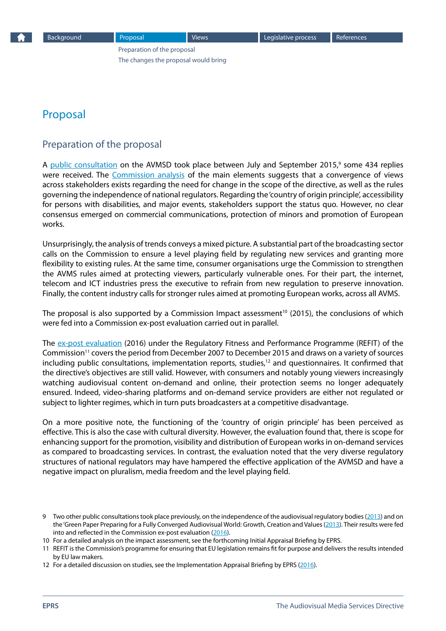## <span id="page-7-0"></span>Proposal

#### Preparation of the proposal

A [public consultation](https://ec.europa.eu/digital-single-market/en/news/public-consultation-directive-201013eu-audiovisual-media-services-avmsd-media-framework-21st) on the AVMSD took place between July and September 2015,<sup>9</sup> some 434 replies were received. The [Commission analysis](https://ec.europa.eu/digital-single-market/en/news/report-public-consultation-review-audiovisual-media-services-directive-avmsd) of the main elements suggests that a convergence of views across stakeholders exists regarding the need for change in the scope of the directive, as well as the rules governing the independence of national regulators. Regarding the 'country of origin principle', accessibility for persons with disabilities, and major events, stakeholders support the status quo. However, no clear consensus emerged on commercial communications, protection of minors and promotion of European works.

Unsurprisingly, the analysis of trends conveys a mixed picture. A substantial part of the broadcasting sector calls on the Commission to ensure a level playing field by regulating new services and granting more flexibility to existing rules. At the same time, consumer organisations urge the Commission to strengthen the AVMS rules aimed at protecting viewers, particularly vulnerable ones. For their part, the internet, telecom and ICT industries press the executive to refrain from new regulation to preserve innovation. Finally, the content industry calls for stronger rules aimed at promoting European works, across all AVMS.

The proposal is also supported by a Commission [Impact assessment](http://ec.europa.eu/newsroom/dae/document.cfm?doc_id=15955)<sup>10</sup> (2015), the conclusions of which were fed into a Commission ex-post evaluation carried out in parallel.

The [ex-post evaluation](https://ec.europa.eu/digital-single-market/en/news/ex-post-refit-evaluation-audiovisual-media-services-directive-201013eu) (2016) under the Regulatory Fitness and Performance Programme (REFIT) of the Commission11 covers the period from December 2007 to December 2015 and draws on a variety of sources including public consultations, implementation reports, studies, $12$  and questionnaires. It confirmed that the directive's objectives are still valid. However, with consumers and notably young viewers increasingly watching audiovisual content on-demand and online, their protection seems no longer adequately ensured. Indeed, video-sharing platforms and on-demand service providers are either not regulated or subject to lighter regimes, which in turn puts broadcasters at a competitive disadvantage.

On a more positive note, the functioning of the 'country of origin principle' has been perceived as effective. This is also the case with cultural diversity. However, the evaluation found that, there is scope for enhancing support for the promotion, visibility and distribution of European works in on-demand services as compared to broadcasting services. In contrast, the evaluation noted that the very diverse regulatory structures of national regulators may have hampered the effective application of the AVMSD and have a negative impact on pluralism, media freedom and the level playing field.

<sup>9</sup> Two other public consultations took place previously, on the independence of the audiovisual regulatory bodies ([2013](https://ec.europa.eu/digital-single-market/en/news/public-consultation-independence-audiovisual-regulatory-bodies-read-contributions)) and on the 'Green Paper Preparing for a Fully Converged Audiovisual World: Growth, Creation and Values ([2013](https://ec.europa.eu/digital-single-market/news/consultation-green-paper-preparing-fully-converged-audiovisual-world-growth-creation-and-values)). Their results were fed into and reflected in the Commission ex-post evaluation ([2016](https://ec.europa.eu/digital-single-market/en/news/ex-post-refit-evaluation-audiovisual-media-services-directive-201013eu)).

<sup>10</sup> For a detailed analysis on the impact assessment, see the forthcoming Initial Appraisal Briefing by EPRS.

<sup>11</sup> REFIT is the Commission's programme for ensuring that EU legislation remains fit for purpose and delivers the results intended by EU law makers.

<sup>12</sup> For a detailed discussion on studies, see the Implementation Appraisal Briefing by EPRS ([2016](http://www.europarl.europa.eu/thinktank/en/document.html?reference=EPRS_BRI(2016)581398)).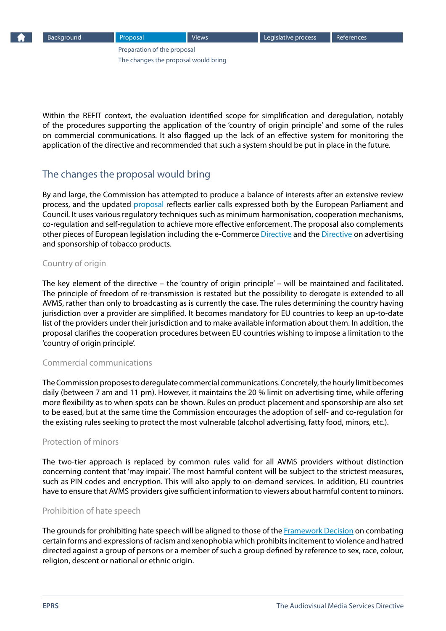<span id="page-8-0"></span>

Within the REFIT context, the evaluation identified scope for simplification and deregulation, notably of the procedures supporting the application of the 'country of origin principle' and some of the rules on commercial communications. It also flagged up the lack of an effective system for monitoring the application of the directive and recommended that such a system should be put in place in the future.

## The changes the proposal would bring

By and large, the Commission has attempted to produce a balance of interests after an extensive review process, and the updated [proposal](http://eur-lex.europa.eu/legal-content/EN/TXT/?qid=1464618463840&uri=COM:2016:287:FIN) reflects earlier calls expressed both by the European Parliament and Council. It uses various regulatory techniques such as minimum harmonisation, cooperation mechanisms, co-regulation and self-regulation to achieve more effective enforcement. The proposal also complements other pieces of European legislation including the e-Commerce [Directive](http://eur-lex.europa.eu/legal-content/EN/TXT/?qid=1465485734645&uri=CELEX:32000L0031) and the [Directive](http://eur-lex.europa.eu/legal-content/EN/TXT/?qid=1465485798094&uri=CELEX:32003L0033) on advertising and sponsorship of tobacco products.

#### Country of origin

The key element of the directive – the 'country of origin principle' – will be maintained and facilitated. The principle of freedom of re-transmission is restated but the possibility to derogate is extended to all AVMS, rather than only to broadcasting as is currently the case. The rules determining the country having jurisdiction over a provider are simplified. It becomes mandatory for EU countries to keep an up-to-date list of the providers under their jurisdiction and to make available information about them. In addition, the proposal clarifies the cooperation procedures between EU countries wishing to impose a limitation to the 'country of origin principle'.

#### Commercial communications

The Commission proposes to deregulate commercial communications. Concretely, the hourly limit becomes daily (between 7 am and 11 pm). However, it maintains the 20 % limit on advertising time, while offering more flexibility as to when spots can be shown. Rules on product placement and sponsorship are also set to be eased, but at the same time the Commission encourages the adoption of self- and co-regulation for the existing rules seeking to protect the most vulnerable (alcohol advertising, fatty food, minors, etc.).

#### Protection of minors

The two-tier approach is replaced by common rules valid for all AVMS providers without distinction concerning content that 'may impair'. The most harmful content will be subject to the strictest measures, such as PIN codes and encryption. This will also apply to on-demand services. In addition, EU countries have to ensure that AVMS providers give sufficient information to viewers about harmful content to minors.

#### Prohibition of hate speech

The grounds for prohibiting hate speech will be aligned to those of the [Framework Decision](http://eur-lex.europa.eu/legal-content/EN/TXT/?qid=1465810742228&uri=CELEX:32008F0913) on combating certain forms and expressions of racism and xenophobia which prohibits incitement to violence and hatred directed against a group of persons or a member of such a group defined by reference to sex, race, colour, religion, descent or national or ethnic origin.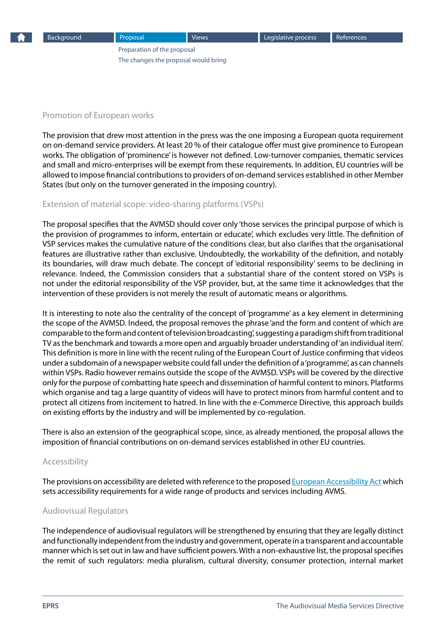#### Promotion of European works

The provision that drew most attention in the press was the one imposing a European quota requirement on on-demand service providers. At least 20 % of their catalogue offer must give prominence to European works. The obligation of 'prominence' is however not defined. Low-turnover companies, thematic services and small and micro-enterprises will be exempt from these requirements. In addition, EU countries will be allowed to impose financial contributions to providers of on-demand services established in other Member States (but only on the turnover generated in the imposing country).

## Extension of material scope: video-sharing platforms (VSPs)

The proposal specifies that the AVMSD should cover only 'those services the principal purpose of which is the provision of programmes to inform, entertain or educate', which excludes very little. The definition of VSP services makes the cumulative nature of the conditions clear, but also clarifies that the organisational features are illustrative rather than exclusive. Undoubtedly, the workability of the definition, and notably its boundaries, will draw much debate. The concept of 'editorial responsibility' seems to be declining in relevance. Indeed, the Commission considers that a substantial share of the content stored on VSPs is not under the editorial responsibility of the VSP provider, but, at the same time it acknowledges that the intervention of these providers is not merely the result of automatic means or algorithms.

It is interesting to note also the centrality of the concept of 'programme' as a key element in determining the scope of the AVMSD. Indeed, the proposal removes the phrase 'and the form and content of which are comparable to the form and content of television broadcasting', suggesting a paradigm shift from traditional TV as the benchmark and towards a more open and arguably broader understanding of 'an individual item'. This definition is more in line with the recent ruling of the European Court of Justice confirming that videos under a subdomain of a newspaper website could fall under the definition of a 'programme', as can channels within VSPs. Radio however remains outside the scope of the AVMSD. VSPs will be covered by the directive only for the purpose of combatting hate speech and dissemination of harmful content to minors. Platforms which organise and tag a large quantity of videos will have to protect minors from harmful content and to protect all citizens from incitement to hatred. In line with the e-Commerce Directive, this approach builds on existing efforts by the industry and will be implemented by co-regulation.

There is also an extension of the geographical scope, since, as already mentioned, the proposal allows the imposition of financial contributions on on-demand services established in other EU countries.

#### Accessibility

The provisions on accessibility are deleted with reference to the proposed [European Accessibility Act](http://eur-lex.europa.eu/legal-content/EN/TXT/?uri=COM%3A2015%3A615%3AFIN) which sets accessibility requirements for a wide range of products and services including AVMS.

## Audiovisual Regulators

The independence of audiovisual regulators will be strengthened by ensuring that they are legally distinct and functionally independent from the industry and government, operate in a transparent and accountable manner which is set out in law and have sufficient powers. With a non-exhaustive list, the proposal specifies the remit of such regulators: media pluralism, cultural diversity, consumer protection, internal market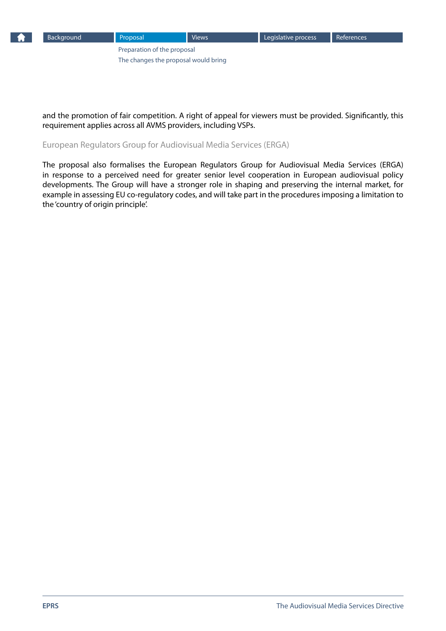

and the promotion of fair competition. A right of appeal for viewers must be provided. Significantly, this requirement applies across all AVMS providers, including VSPs.

European Regulators Group for Audiovisual Media Services (ERGA)

The proposal also formalises the European Regulators Group for Audiovisual Media Services (ERGA) in response to a perceived need for greater senior level cooperation in European audiovisual policy developments. The Group will have a stronger role in shaping and preserving the internal market, for example in assessing EU co-regulatory codes, and will take part in the procedures imposing a limitation to the 'country of origin principle'.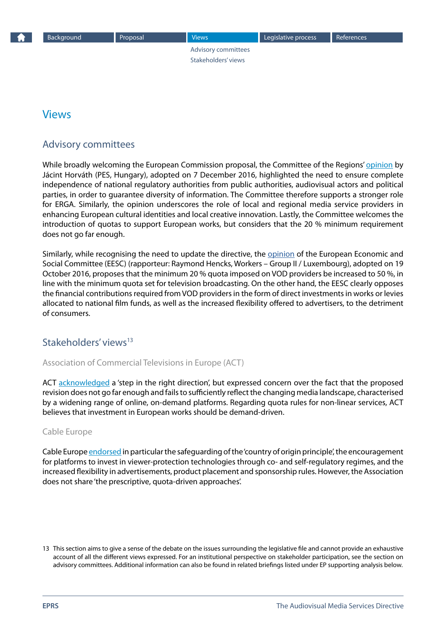Advisory committees Stakeholders' views

## <span id="page-11-0"></span>Views

## Advisory committees

While broadly welcoming the European Commission proposal, the Committee of the Regions' [opinion](http://cor.europa.eu/en/activities/opinions/pages/opinion-factsheet.aspx?OpinionNumber=CDR 4093/2016) by Jácint Horváth (PES, Hungary), adopted on 7 December 2016, highlighted the need to ensure complete independence of national regulatory authorities from public authorities, audiovisual actors and political parties, in order to guarantee diversity of information. The Committee therefore supports a stronger role for ERGA. Similarly, the opinion underscores the role of local and regional media service providers in enhancing European cultural identities and local creative innovation. Lastly, the Committee welcomes the introduction of quotas to support European works, but considers that the 20 % minimum requirement does not go far enough.

Similarly, while recognising the need to update the directive, the [opinion](http://www.eesc.europa.eu/?i=portal.en.ten-opinions.39665) of the European Economic and Social Committee (EESC) (rapporteur: Raymond Hencks, Workers – Group II / Luxembourg), adopted on 19 October 2016, proposes that the minimum 20 % quota imposed on VOD providers be increased to 50 %, in line with the minimum quota set for television broadcasting. On the other hand, the EESC clearly opposes the financial contributions required from VOD providers in the form of direct investments in works or levies allocated to national film funds, as well as the increased flexibility offered to advertisers, to the detriment of consumers.

## Stakeholders' views<sup>13</sup>

#### Association of Commercial Televisions in Europe (ACT)

ACT [acknowledged](http://www.acte.be/mediaroom/111/31/ACT-responds-to-revised-AVMSD-proposal) a 'step in the right direction', but expressed concern over the fact that the proposed revision does not go far enough and fails to sufficiently reflect the changing media landscape, characterised by a widening range of online, on-demand platforms. Regarding quota rules for non-linear services, ACT believes that investment in European works should be demand-driven.

#### Cable Europe

Cable Europe [endorsed](http://www.cable-europe.eu/cable-europe-welcomes-proposals-set-out-in-review-of-avms-directive/) in particular the safeguarding of the 'country of origin principle', the encouragement for platforms to invest in viewer-protection technologies through co- and self-regulatory regimes, and the increased flexibility in advertisements, product placement and sponsorship rules. However, the Association does not share 'the prescriptive, quota-driven approaches'.

<sup>13</sup> This section aims to give a sense of the debate on the issues surrounding the legislative file and cannot provide an exhaustive account of all the different views expressed. For an institutional perspective on stakeholder participation, see the section on advisory committees. Additional information can also be found in related briefings listed under EP supporting analysis below.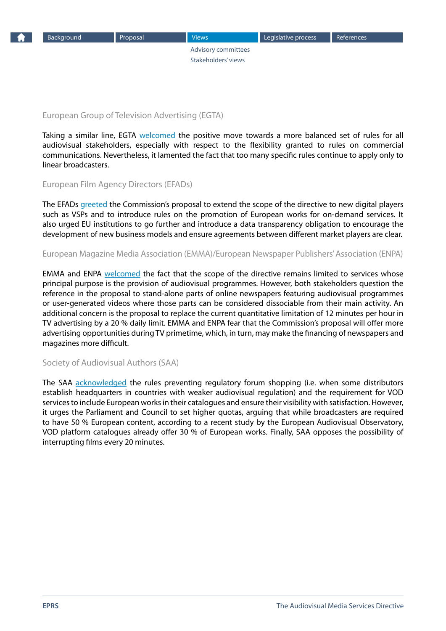

[Advisory committees](#page-11-0) [Stakeholders' views](#page-11-0)

European Group of Television Advertising (EGTA)

Taking a similar line, EGTA [welcomed](http://www.egta.com/index.php?page=press-release-individual&idRelease=299) the positive move towards a more balanced set of rules for all audiovisual stakeholders, especially with respect to the flexibility granted to rules on commercial communications. Nevertheless, it lamented the fact that too many specific rules continue to apply only to linear broadcasters.

European Film Agency Directors (EFADs)

The EFADs [greeted](http://www.efads.eu/news/european-film-agencies-commend-the-commissions-approach-towards-the-avms-directive.html) the Commission's proposal to extend the scope of the directive to new digital players such as VSPs and to introduce rules on the promotion of European works for on-demand services. It also urged EU institutions to go further and introduce a data transparency obligation to encourage the development of new business models and ensure agreements between different market players are clear.

European Magazine Media Association (EMMA)/European Newspaper Publishers' Association (ENPA)

EMMA and ENPA [welcomed](http://www.enpa.eu/app/download/6374063962/20160525 Joint EMMA_ENPA press release on COM proposal.pdf?t=1464206092) the fact that the scope of the directive remains limited to services whose principal purpose is the provision of audiovisual programmes. However, both stakeholders question the reference in the proposal to stand-alone parts of online newspapers featuring audiovisual programmes or user-generated videos where those parts can be considered dissociable from their main activity. An additional concern is the proposal to replace the current quantitative limitation of 12 minutes per hour in TV advertising by a 20 % daily limit. EMMA and ENPA fear that the Commission's proposal will offer more advertising opportunities during TV primetime, which, in turn, may make the financing of newspapers and magazines more difficult.

#### Society of Audiovisual Authors (SAA)

The SAA [acknowledged](http://www.saa-authors.eu/de/news/203/) the rules preventing regulatory forum shopping (i.e. when some distributors establish headquarters in countries with weaker audiovisual regulation) and the requirement for VOD services to include European works in their catalogues and ensure their visibility with satisfaction. However, it urges the Parliament and Council to set higher quotas, arguing that while broadcasters are required to have 50 % European content, according to a recent study by the European Audiovisual Observatory, VOD platform catalogues already offer 30 % of European works. Finally, SAA opposes the possibility of interrupting films every 20 minutes.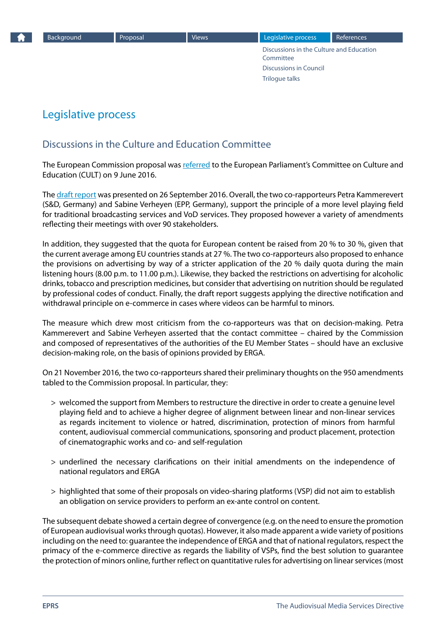Discussions in the Culture and Education Committee [Discussions in Council](#page-14-0) [Trilogue talks](#page-15-0)

## <span id="page-13-0"></span>Legislative process

## Discussions in the Culture and Education Committee

The European Commission proposal was [referred](http://www.oeil.ep.parl.union.eu/oeil/popups/ficheprocedure.do?reference=2016/0151(COD)&l=en) to the European Parliament's Committee on Culture and Education (CULT) on 9 June 2016.

The [draft report](http://www.europarl.europa.eu/sides/getDoc.do?type=COMPARL&mode=XML&language=EN&reference=PE587.655) was presented on 26 September 2016. Overall, the two co-rapporteurs Petra Kammerevert (S&D, Germany) and Sabine Verheyen (EPP, Germany), support the principle of a more level playing field for traditional broadcasting services and VoD services. They proposed however a variety of amendments reflecting their meetings with over 90 stakeholders.

In addition, they suggested that the quota for European content be raised from 20 % to 30 %, given that the current average among EU countries stands at 27 %. The two co-rapporteurs also proposed to enhance the provisions on advertising by way of a stricter application of the 20 % daily quota during the main listening hours (8.00 p.m. to 11.00 p.m.). Likewise, they backed the restrictions on advertising for alcoholic drinks, tobacco and prescription medicines, but consider that advertising on nutrition should be regulated by professional codes of conduct. Finally, the draft report suggests applying the directive notification and withdrawal principle on e-commerce in cases where videos can be harmful to minors.

The measure which drew most criticism from the co-rapporteurs was that on decision-making. Petra Kammerevert and Sabine Verheyen asserted that the contact committee – chaired by the Commission and composed of representatives of the authorities of the EU Member States – should have an exclusive decision-making role, on the basis of opinions provided by ERGA.

On 21 November 2016, the two co-rapporteurs shared their preliminary thoughts on the 950 amendments tabled to the Commission proposal. In particular, they:

- > welcomed the support from Members to restructure the directive in order to create a genuine level playing field and to achieve a higher degree of alignment between linear and non-linear services as regards incitement to violence or hatred, discrimination, protection of minors from harmful content, audiovisual commercial communications, sponsoring and product placement, protection of cinematographic works and co- and self-regulation
- > underlined the necessary clarifications on their initial amendments on the independence of national regulators and ERGA
- > highlighted that some of their proposals on video-sharing platforms (VSP) did not aim to establish an obligation on service providers to perform an ex-ante control on content.

The subsequent debate showed a certain degree of convergence (e.g. on the need to ensure the promotion of European audiovisual works through quotas). However, it also made apparent a wide variety of positions including on the need to: guarantee the independence of ERGA and that of national regulators, respect the primacy of the e-commerce directive as regards the liability of VSPs, find the best solution to guarantee the protection of minors online, further reflect on quantitative rules for advertising on linear services (most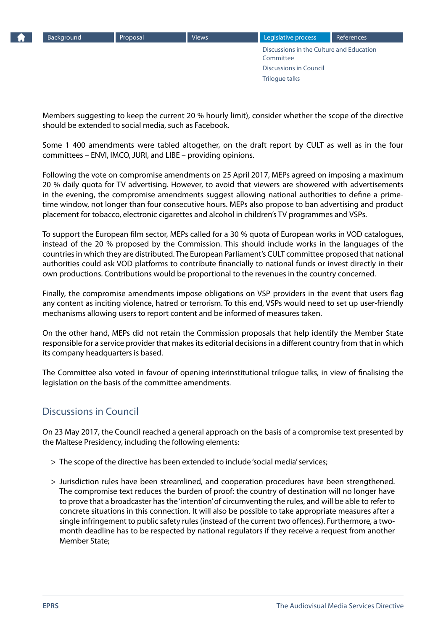<span id="page-14-0"></span>

[Discussions in the Culture and Education](#page-13-0)  **[Committee](#page-13-0)** Discussions in Council [Trilogue talks](#page-15-0) [Background](#page-1-0) **[Proposal](#page-7-0)** [Views](#page-11-0) [Legislative process](#page-13-0) [References](#page-17-0)

Members suggesting to keep the current 20 % hourly limit), consider whether the scope of the directive should be extended to social media, such as Facebook.

Some 1 400 amendments were tabled altogether, on the draft report by CULT as well as in the four committees – ENVI, IMCO, JURI, and LIBE – providing opinions.

Following the vote on compromise amendments on 25 April 2017, MEPs agreed on imposing a maximum 20 % daily quota for TV advertising. However, to avoid that viewers are showered with advertisements in the evening, the compromise amendments suggest allowing national authorities to define a primetime window, not longer than four consecutive hours. MEPs also propose to ban advertising and product placement for tobacco, electronic cigarettes and alcohol in children's TV programmes and VSPs.

To support the European film sector, MEPs called for a 30 % quota of European works in VOD catalogues, instead of the 20 % proposed by the Commission. This should include works in the languages of the countries in which they are distributed. The European Parliament's CULT committee proposed that national authorities could ask VOD platforms to contribute financially to national funds or invest directly in their own productions. Contributions would be proportional to the revenues in the country concerned.

Finally, the compromise amendments impose obligations on VSP providers in the event that users flag any content as inciting violence, hatred or terrorism. To this end, VSPs would need to set up user-friendly mechanisms allowing users to report content and be informed of measures taken.

On the other hand, MEPs did not retain the Commission proposals that help identify the Member State responsible for a service provider that makes its editorial decisions in a different country from that in which its company headquarters is based.

The Committee also voted in favour of opening interinstitutional trilogue talks, in view of finalising the legislation on the basis of the committee amendments.

## Discussions in Council

On 23 May 2017, the Council reached a general approach on the basis of a compromise text presented by the Maltese Presidency, including the following elements:

- > The scope of the directive has been extended to include 'social media' services;
- > Jurisdiction rules have been streamlined, and cooperation procedures have been strengthened. The compromise text reduces the burden of proof: the country of destination will no longer have to prove that a broadcaster has the 'intention' of circumventing the rules, and will be able to refer to concrete situations in this connection. It will also be possible to take appropriate measures after a single infringement to public safety rules (instead of the current two offences). Furthermore, a twomonth deadline has to be respected by national regulators if they receive a request from another Member State;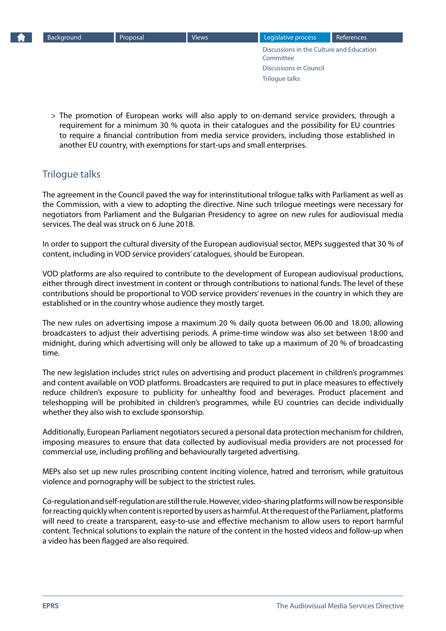<span id="page-15-0"></span>[Discussions in the Culture and Education](#page-13-0)  [Committee](#page-13-0) [Discussions in Council](#page-14-0) Trilogue talks [Background](#page-1-0) **[Proposal](#page-7-0)** [Views](#page-11-0) [Legislative process](#page-13-0) [References](#page-17-0)

> The promotion of European works will also apply to on-demand service providers, through a requirement for a minimum 30 % quota in their catalogues and the possibility for EU countries to require a financial contribution from media service providers, including those established in another EU country, with exemptions for start-ups and small enterprises.

## Trilogue talks

The agreement in the Council paved the way for interinstitutional trilogue talks with Parliament as well as the Commission, with a view to adopting the directive. Nine such trilogue meetings were necessary for negotiators from Parliament and the Bulgarian Presidency to agree on new rules for audiovisual media services. The deal was struck on 6 June 2018.

In order to support the cultural diversity of the European audiovisual sector, MEPs suggested that 30 % of content, including in VOD service providers' catalogues, should be European.

VOD platforms are also required to contribute to the development of European audiovisual productions, either through direct investment in content or through contributions to national funds. The level of these contributions should be proportional to VOD service providers' revenues in the country in which they are established or in the country whose audience they mostly target.

The new rules on advertising impose a maximum 20 % daily quota between 06.00 and 18.00, allowing broadcasters to adjust their advertising periods. A prime-time window was also set between 18:00 and midnight, during which advertising will only be allowed to take up a maximum of 20 % of broadcasting time.

The new legislation includes strict rules on advertising and product placement in children's programmes and content available on VOD platforms. Broadcasters are required to put in place measures to effectively reduce children's exposure to publicity for unhealthy food and beverages. Product placement and teleshopping will be prohibited in children's programmes, while EU countries can decide individually whether they also wish to exclude sponsorship.

Additionally, European Parliament negotiators secured a personal data protection mechanism for children, imposing measures to ensure that data collected by audiovisual media providers are not processed for commercial use, including profiling and behaviourally targeted advertising.

MEPs also set up new rules proscribing content inciting violence, hatred and terrorism, while gratuitous violence and pornography will be subject to the strictest rules.

Co-regulation and self-regulation are still the rule. However, video-sharing platforms will now be responsible for reacting quickly when content is reported by users as harmful. At the request of the Parliament, platforms will need to create a transparent, easy-to-use and effective mechanism to allow users to report harmful content. Technical solutions to explain the nature of the content in the hosted videos and follow-up when a video has been flagged are also required.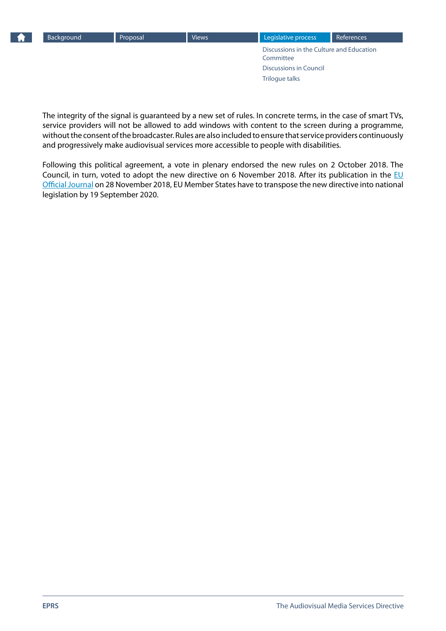

The integrity of the signal is guaranteed by a new set of rules. In concrete terms, in the case of smart TVs, service providers will not be allowed to add windows with content to the screen during a programme, without the consent of the broadcaster. Rules are also included to ensure that service providers continuously and progressively make audiovisual services more accessible to people with disabilities.

Following this political agreement, a vote in plenary endorsed the new rules on 2 October 2018. The Council, in turn, voted to adopt the new directive on 6 November 2018. After its publication in the  $E$ U [Official Journal](https://eur-lex.europa.eu/legal-content/EN/TXT/?uri=uriserv:OJ.L_.2018.303.01.0069.01.ENG) on 28 November 2018, EU Member States have to transpose the new directive into national legislation by 19 September 2020.